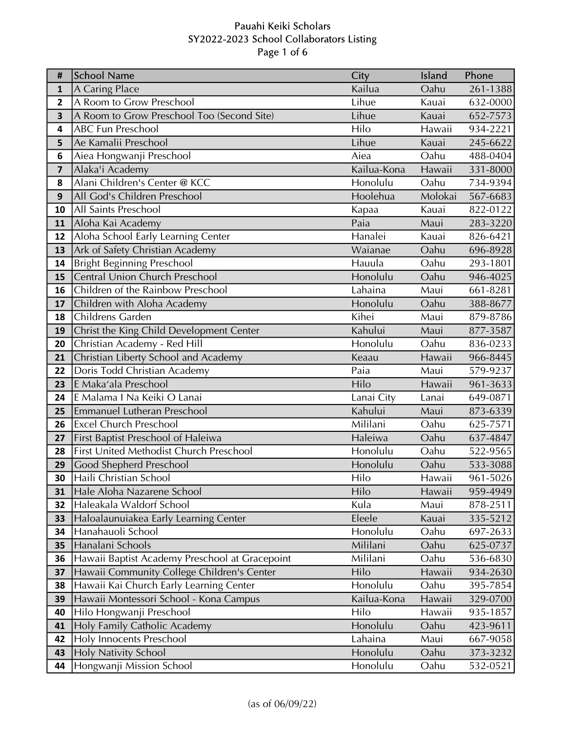# Pauahi Keiki Scholars SY2022-2023 School Collaborators Listing Page 1 of 6

| #            | School Name                                    | City        | Island  | Phone    |
|--------------|------------------------------------------------|-------------|---------|----------|
| $\mathbf{1}$ | A Caring Place                                 | Kailua      | Oahu    | 261-1388 |
| 2            | A Room to Grow Preschool                       | Lihue       | Kauai   | 632-0000 |
| 3            | A Room to Grow Preschool Too (Second Site)     | Lihue       | Kauai   | 652-7573 |
| 4            | <b>ABC Fun Preschool</b>                       | Hilo        | Hawaii  | 934-2221 |
| 5            | Ae Kamalii Preschool                           | Lihue       | Kauai   | 245-6622 |
| 6            | Aiea Hongwanji Preschool                       | Aiea        | Oahu    | 488-0404 |
| 7            | Alaka'i Academy                                | Kailua-Kona | Hawaii  | 331-8000 |
| 8            | Alani Children's Center @ KCC                  | Honolulu    | Oahu    | 734-9394 |
| 9            | All God's Children Preschool                   | Hoolehua    | Molokai | 567-6683 |
| 10           | All Saints Preschool                           | Kapaa       | Kauai   | 822-0122 |
| 11           | Aloha Kai Academy                              | Paia        | Maui    | 283-3220 |
| 12           | Aloha School Early Learning Center             | Hanalei     | Kauai   | 826-6421 |
| 13           | Ark of Safety Christian Academy                | Waianae     | Oahu    | 696-8928 |
| 14           | <b>Bright Beginning Preschool</b>              | Hauula      | Oahu    | 293-1801 |
| 15           | <b>Central Union Church Preschool</b>          | Honolulu    | Oahu    | 946-4025 |
| 16           | Children of the Rainbow Preschool              | Lahaina     | Maui    | 661-8281 |
| 17           | Children with Aloha Academy                    | Honolulu    | Oahu    | 388-8677 |
| 18           | Childrens Garden                               | Kihei       | Maui    | 879-8786 |
| 19           | Christ the King Child Development Center       | Kahului     | Maui    | 877-3587 |
| 20           | Christian Academy - Red Hill                   | Honolulu    | Oahu    | 836-0233 |
| 21           | Christian Liberty School and Academy           | Keaau       | Hawaii  | 966-8445 |
| 22           | Doris Todd Christian Academy                   | Paia        | Maui    | 579-9237 |
| 23           | E Maka'ala Preschool                           | Hilo        | Hawaii  | 961-3633 |
| 24           | E Malama I Na Keiki O Lanai                    | Lanai City  | Lanai   | 649-0871 |
| 25           | <b>Emmanuel Lutheran Preschool</b>             | Kahului     | Maui    | 873-6339 |
| 26           | <b>Excel Church Preschool</b>                  | Mililani    | Oahu    | 625-7571 |
| 27           | First Baptist Preschool of Haleiwa             | Haleiwa     | Oahu    | 637-4847 |
| 28           | <b>First United Methodist Church Preschool</b> | Honolulu    | Oahu    | 522-9565 |
| 29           | Good Shepherd Preschool                        | Honolulu    | Oahu    | 533-3088 |
| 30           | Haili Christian School                         | Hilo        | Hawaii  | 961-5026 |
| 31           | Hale Aloha Nazarene School                     | Hilo        | Hawaii  | 959-4949 |
| 32           | Haleakala Waldorf School                       | Kula        | Maui    | 878-2511 |
| 33           | Haloalaunuiakea Early Learning Center          | Eleele      | Kauai   | 335-5212 |
| 34           | Hanahauoli School                              | Honolulu    | Oahu    | 697-2633 |
| 35           | Hanalani Schools                               | Mililani    | Oahu    | 625-0737 |
| 36           | Hawaii Baptist Academy Preschool at Gracepoint | Mililani    | Oahu    | 536-6830 |
| 37           | Hawaii Community College Children's Center     | Hilo        | Hawaii  | 934-2630 |
| 38           | Hawaii Kai Church Early Learning Center        | Honolulu    | Oahu    | 395-7854 |
| 39           | Hawaii Montessori School - Kona Campus         | Kailua-Kona | Hawaii  | 329-0700 |
| 40           | Hilo Hongwanji Preschool                       | Hilo        | Hawaii  | 935-1857 |
| 41           | Holy Family Catholic Academy                   | Honolulu    | Oahu    | 423-9611 |
| 42           | <b>Holy Innocents Preschool</b>                | Lahaina     | Maui    | 667-9058 |
| 43           | <b>Holy Nativity School</b>                    | Honolulu    | Oahu    | 373-3232 |
| 44           | Hongwanji Mission School                       | Honolulu    | Oahu    | 532-0521 |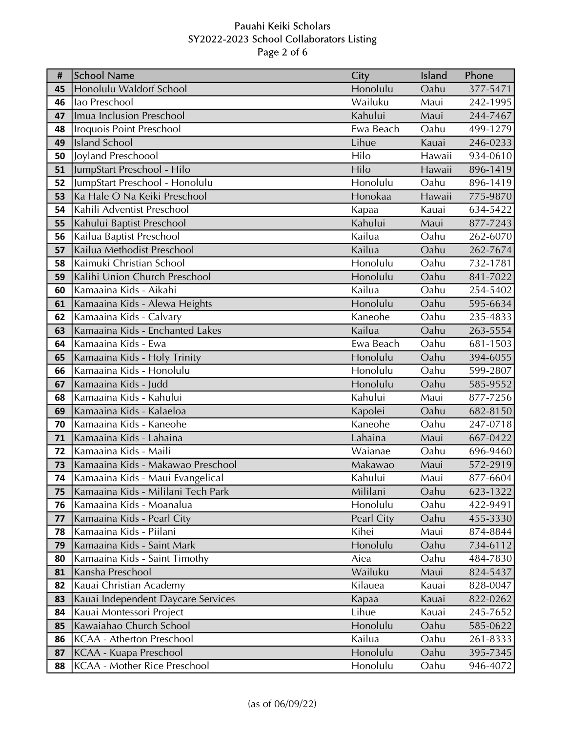# Pauahi Keiki Scholars SY2022-2023 School Collaborators Listing Page 2 of 6

| #  | School Name                        | City       | Island | Phone        |
|----|------------------------------------|------------|--------|--------------|
| 45 | Honolulu Waldorf School            | Honolulu   | Oahu   | 377-5471     |
| 46 | lao Preschool                      | Wailuku    | Maui   | 242-1995     |
| 47 | Imua Inclusion Preschool           | Kahului    | Maui   | 244-7467     |
| 48 | Iroquois Point Preschool           | Ewa Beach  | Oahu   | 499-1279     |
| 49 | <b>Island School</b>               | Lihue      | Kauai  | 246-0233     |
| 50 | Joyland Preschoool                 | Hilo       | Hawaii | $934 - 0610$ |
| 51 | JumpStart Preschool - Hilo         | Hilo       | Hawaii | 896-1419     |
| 52 | JumpStart Preschool - Honolulu     | Honolulu   | Oahu   | 896-1419     |
| 53 | Ka Hale O Na Keiki Preschool       | Honokaa    | Hawaii | 775-9870     |
| 54 | Kahili Adventist Preschool         | Kapaa      | Kauai  | 634-5422     |
| 55 | Kahului Baptist Preschool          | Kahului    | Maui   | 877-7243     |
| 56 | Kailua Baptist Preschool           | Kailua     | Oahu   | 262-6070     |
| 57 | Kailua Methodist Preschool         | Kailua     | Oahu   | 262-7674     |
| 58 | Kaimuki Christian School           | Honolulu   | Oahu   | 732-1781     |
| 59 | Kalihi Union Church Preschool      | Honolulu   | Oahu   | 841-7022     |
| 60 | Kamaaina Kids - Aikahi             | Kailua     | Oahu   | 254-5402     |
| 61 | Kamaaina Kids - Alewa Heights      | Honolulu   | Oahu   | 595-6634     |
| 62 | Kamaaina Kids - Calvary            | Kaneohe    | Oahu   | 235-4833     |
| 63 | Kamaaina Kids - Enchanted Lakes    | Kailua     | Oahu   | 263-5554     |
| 64 | Kamaaina Kids - Ewa                | Ewa Beach  | Oahu   | 681-1503     |
| 65 | Kamaaina Kids - Holy Trinity       | Honolulu   | Oahu   | 394-6055     |
| 66 | Kamaaina Kids - Honolulu           | Honolulu   | Oahu   | 599-2807     |
| 67 | Kamaaina Kids - Judd               | Honolulu   | Oahu   | 585-9552     |
| 68 | Kamaaina Kids - Kahului            | Kahului    | Maui   | 877-7256     |
| 69 | Kamaaina Kids - Kalaeloa           | Kapolei    | Oahu   | 682-8150     |
| 70 | Kamaaina Kids - Kaneohe            | Kaneohe    | Oahu   | 247-0718     |
| 71 | Kamaaina Kids - Lahaina            | Lahaina    | Maui   | 667-0422     |
| 72 | Kamaaina Kids - Maili              | Waianae    | Oahu   | 696-9460     |
| 73 | Kamaaina Kids - Makawao Preschool  | Makawao    | Maui   | 572-2919     |
| 74 | Kamaaina Kids - Maui Evangelical   | Kahului    | Maui   | 877-6604     |
| 75 | Kamaaina Kids - Mililani Tech Park | Mililani   | Oahu   | 623-1322     |
| 76 | Kamaaina Kids - Moanalua           | Honolulu   | Oahu   | 422-9491     |
| 77 | Kamaaina Kids - Pearl City         | Pearl City | Oahu   | 455-3330     |
| 78 | Kamaaina Kids - Piilani            | Kihei      | Maui   | 874-8844     |
| 79 | Kamaaina Kids - Saint Mark         | Honolulu   | Oahu   | 734-6112     |
| 80 | Kamaaina Kids - Saint Timothy      | Aiea       | Oahu   | 484-7830     |
| 81 | Kansha Preschool                   | Wailuku    | Maui   | 824-5437     |
| 82 | Kauai Christian Academy            | Kilauea    | Kauai  | 828-0047     |
| 83 | Kauai Independent Daycare Services | Kapaa      | Kauai  | 822-0262     |
| 84 | Kauai Montessori Project           | Lihue      | Kauai  | 245-7652     |
| 85 | Kawaiahao Church School            | Honolulu   | Oahu   | 585-0622     |
| 86 | <b>KCAA - Atherton Preschool</b>   | Kailua     | Oahu   | 261-8333     |
| 87 | KCAA - Kuapa Preschool             | Honolulu   | Oahu   | 395-7345     |
| 88 | KCAA - Mother Rice Preschool       | Honolulu   | Oahu   | 946-4072     |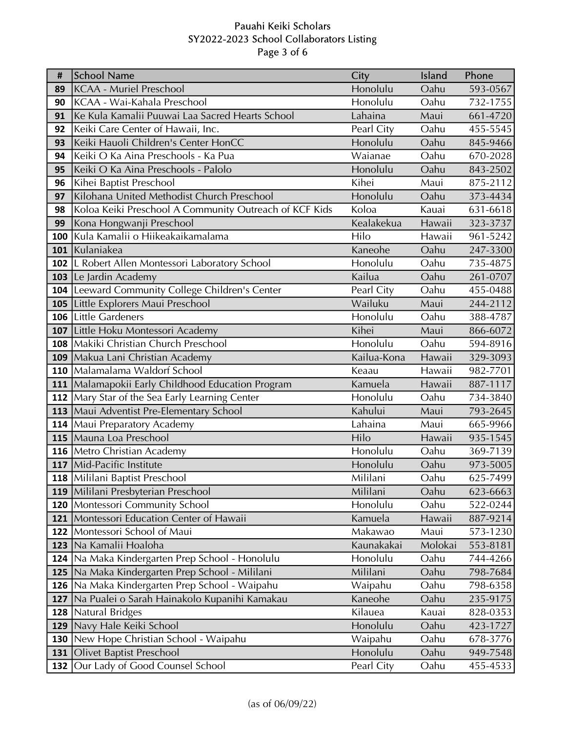# Pauahi Keiki Scholars SY2022-2023 School Collaborators Listing Page 3 of 6

| $\pmb{\sharp}$ | School Name                                            | City        | Island  | Phone    |
|----------------|--------------------------------------------------------|-------------|---------|----------|
| 89             | <b>KCAA - Muriel Preschool</b>                         | Honolulu    | Oahu    | 593-0567 |
| 90             | KCAA - Wai-Kahala Preschool                            | Honolulu    | Oahu    | 732-1755 |
| 91             | Ke Kula Kamalii Puuwai Laa Sacred Hearts School        | Lahaina     | Maui    | 661-4720 |
| 92             | Keiki Care Center of Hawaii, Inc.                      | Pearl City  | Oahu    | 455-5545 |
| 93             | Keiki Hauoli Children's Center HonCC                   | Honolulu    | Oahu    | 845-9466 |
| 94             | Keiki O Ka Aina Preschools - Ka Pua                    | Waianae     | Oahu    | 670-2028 |
| 95             | Keiki O Ka Aina Preschools - Palolo                    | Honolulu    | Oahu    | 843-2502 |
| 96             | Kihei Baptist Preschool                                | Kihei       | Maui    | 875-2112 |
| 97             | Kilohana United Methodist Church Preschool             | Honolulu    | Oahu    | 373-4434 |
| 98             | Koloa Keiki Preschool A Community Outreach of KCF Kids | Koloa       | Kauai   | 631-6618 |
| 99             | Kona Hongwanji Preschool                               | Kealakekua  | Hawaii  | 323-3737 |
| 100            | Kula Kamalii o Hiikeakaikamalama                       | Hilo        | Hawaii  | 961-5242 |
|                | 101 Kulaniakea                                         | Kaneohe     | Oahu    | 247-3300 |
|                | 102   L Robert Allen Montessori Laboratory School      | Honolulu    | Oahu    | 735-4875 |
|                | 103 Le Jardin Academy                                  | Kailua      | Oahu    | 261-0707 |
|                | <b>104</b> Leeward Community College Children's Center | Pearl City  | Oahu    | 455-0488 |
|                | 105 Little Explorers Maui Preschool                    | Wailuku     | Maui    | 244-2112 |
|                | 106 Little Gardeners                                   | Honolulu    | Oahu    | 388-4787 |
|                | 107 Little Hoku Montessori Academy                     | Kihei       | Maui    | 866-6072 |
|                | 108   Makiki Christian Church Preschool                | Honolulu    | Oahu    | 594-8916 |
|                | 109   Makua Lani Christian Academy                     | Kailua-Kona | Hawaii  | 329-3093 |
|                | 110 Malamalama Waldorf School                          | Keaau       | Hawaii  | 982-7701 |
|                | 111 Malamapokii Early Childhood Education Program      | Kamuela     | Hawaii  | 887-1117 |
|                | 112   Mary Star of the Sea Early Learning Center       | Honolulu    | Oahu    | 734-3840 |
|                | 113 Maui Adventist Pre-Elementary School               | Kahului     | Maui    | 793-2645 |
|                | <b>114   Maui Preparatory Academy</b>                  | Lahaina     | Maui    | 665-9966 |
|                | 115 Mauna Loa Preschool                                | Hilo        | Hawaii  | 935-1545 |
|                | <b>116</b> Metro Christian Academy                     | Honolulu    | Oahu    | 369-7139 |
|                | 117 Mid-Pacific Institute                              | Honolulu    | Oahu    | 973-5005 |
|                | 118   Mililani Baptist Preschool                       | Mililani    | Oahu    | 625-7499 |
|                | 119 Mililani Presbyterian Preschool                    | Mililani    | Oahu    | 623-6663 |
|                | 120   Montessori Community School                      | Honolulu    | Oahu    | 522-0244 |
|                | 121   Montessori Education Center of Hawaii            | Kamuela     | Hawaii  | 887-9214 |
|                | 122 Montessori School of Maui                          | Makawao     | Maui    | 573-1230 |
|                | 123   Na Kamalii Hoaloha                               | Kaunakakai  | Molokai | 553-8181 |
|                | 124   Na Maka Kindergarten Prep School - Honolulu      | Honolulu    | Oahu    | 744-4266 |
|                | 125   Na Maka Kindergarten Prep School - Mililani      | Mililani    | Oahu    | 798-7684 |
| 126            | Na Maka Kindergarten Prep School - Waipahu             | Waipahu     | Oahu    | 798-6358 |
| 127            | Na Pualei o Sarah Hainakolo Kupanihi Kamakau           | Kaneohe     | Oahu    | 235-9175 |
| 128            | <b>Natural Bridges</b>                                 | Kilauea     | Kauai   | 828-0353 |
|                | 129   Navy Hale Keiki School                           | Honolulu    | Oahu    | 423-1727 |
| 130            | New Hope Christian School - Waipahu                    | Waipahu     | Oahu    | 678-3776 |
| 131            | <b>Olivet Baptist Preschool</b>                        | Honolulu    | Oahu    | 949-7548 |
| 132            | Our Lady of Good Counsel School                        | Pearl City  | Oahu    | 455-4533 |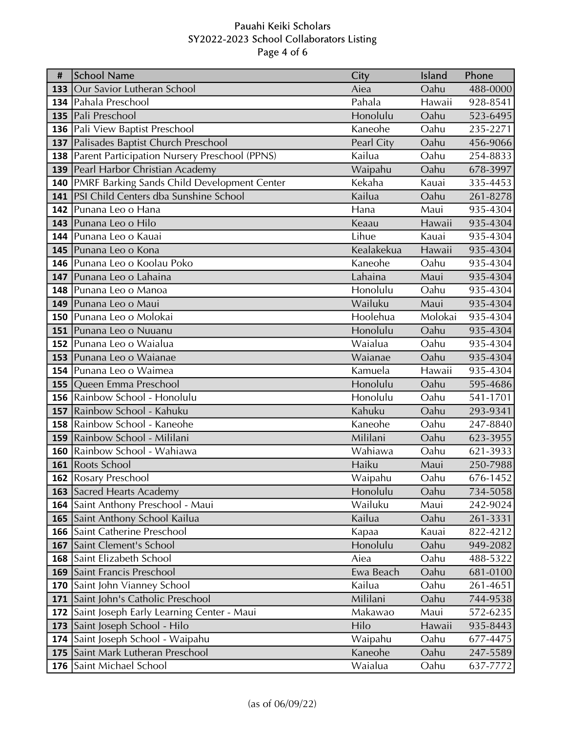# Pauahi Keiki Scholars SY2022-2023 School Collaborators Listing Page 4 of 6

| #   | <b>School Name</b>                                                             | City              | Island        | Phone                |
|-----|--------------------------------------------------------------------------------|-------------------|---------------|----------------------|
|     | <b>133</b> Our Savior Lutheran School                                          | Aiea              | Oahu          | 488-0000             |
|     | 134 Pahala Preschool                                                           | Pahala            | Hawaii        | 928-8541             |
|     | 135   Pali Preschool                                                           | Honolulu          | Oahu          | 523-6495             |
|     | 136   Pali View Baptist Preschool                                              | Kaneohe           | Oahu          | 235-2271             |
|     | 137   Palisades Baptist Church Preschool                                       | Pearl City        | Oahu          | 456-9066             |
|     | <b>138</b> Parent Participation Nursery Preschool (PPNS)                       | Kailua            | Oahu          | 254-8833             |
|     | 139 Pearl Harbor Christian Academy                                             | Waipahu           | Oahu          | 678-3997             |
|     | 140 PMRF Barking Sands Child Development Center                                | Kekaha            | Kauai         | 335-4453             |
|     | 141   PSI Child Centers dba Sunshine School                                    | Kailua            | Oahu          | 261-8278             |
|     | 142 Punana Leo o Hana                                                          | Hana              | Maui          | 935-4304             |
|     | 143 Punana Leo o Hilo                                                          | Keaau             | Hawaii        | 935-4304             |
|     | 144   Punana Leo o Kauai                                                       | Lihue             | Kauai         | 935-4304             |
|     | 145 Punana Leo o Kona                                                          | Kealakekua        | Hawaii        | 935-4304             |
|     | 146 Punana Leo o Koolau Poko                                                   | Kaneohe           | Oahu          | 935-4304             |
|     | 147 Punana Leo o Lahaina                                                       | Lahaina           | Maui          | 935-4304             |
|     | <b>148</b> Punana Leo o Manoa                                                  | Honolulu          | Oahu          | 935-4304             |
|     | 149 Punana Leo o Maui                                                          | Wailuku           | Maui          | 935-4304             |
|     | <b>150</b> Punana Leo o Molokai                                                | Hoolehua          | Molokai       | 935-4304             |
|     | <b>151</b> Punana Leo o Nuuanu                                                 | Honolulu          | Oahu          | 935-4304             |
|     | <b>152</b> Punana Leo o Waialua                                                | Waialua           | Oahu          | 935-4304             |
|     | 153 Punana Leo o Waianae                                                       | Waianae           | Oahu          | 935-4304             |
|     | <b>154</b> Punana Leo o Waimea                                                 | Kamuela           | Hawaii        | 935-4304             |
|     | 155 Queen Emma Preschool                                                       | Honolulu          | Oahu          | 595-4686             |
|     | 156 Rainbow School - Honolulu                                                  | Honolulu          | Oahu          | 541-1701             |
| 157 | Rainbow School - Kahuku                                                        | Kahuku            | Oahu          | 293-9341             |
|     | <b>158</b> Rainbow School - Kaneohe                                            | Kaneohe           | Oahu          | 247-8840             |
|     | 159 Rainbow School - Mililani                                                  | Mililani          | Oahu          | 623-3955             |
|     | 160 Rainbow School - Wahiawa                                                   | Wahiawa           | Oahu          | 621-3933             |
|     | 161 Roots School                                                               | Haiku             | Maui          | 250-7988             |
|     | <b>162 Rosary Preschool</b>                                                    | Waipahu           | Oahu          | 676-1452             |
|     | <b>163</b> Sacred Hearts Academy                                               | Honolulu          | Oahu          | 734-5058             |
|     | 164 Saint Anthony Preschool - Maui                                             | Wailuku           | Maui          | 242-9024             |
|     | <b>165</b> Saint Anthony School Kailua<br><b>166</b> Saint Catherine Preschool | Kailua            | Oahu<br>Kauai | 261-3331<br>822-4212 |
|     | <b>167</b> Saint Clement's School                                              | Kapaa<br>Honolulu | Oahu          | 949-2082             |
|     | <b>168</b> Saint Elizabeth School                                              | Aiea              | Oahu          | 488-5322             |
|     | <b>169</b> Saint Francis Preschool                                             | Ewa Beach         | Oahu          | 681-0100             |
|     | <b>170</b> Saint John Vianney School                                           | Kailua            | Oahu          |                      |
| 171 | Saint John's Catholic Preschool                                                | Mililani          | Oahu          | 261-4651<br>744-9538 |
|     | 172 Saint Joseph Early Learning Center - Maui                                  | Makawao           | Maui          | 572-6235             |
|     | 173 Saint Joseph School - Hilo                                                 | Hilo              | Hawaii        | 935-8443             |
|     | 174 Saint Joseph School - Waipahu                                              | Waipahu           | Oahu          | 677-4475             |
|     | 175 Saint Mark Lutheran Preschool                                              | Kaneohe           | Oahu          | 247-5589             |
| 176 | Saint Michael School                                                           | Waialua           | Oahu          |                      |
|     |                                                                                |                   |               | 637-7772             |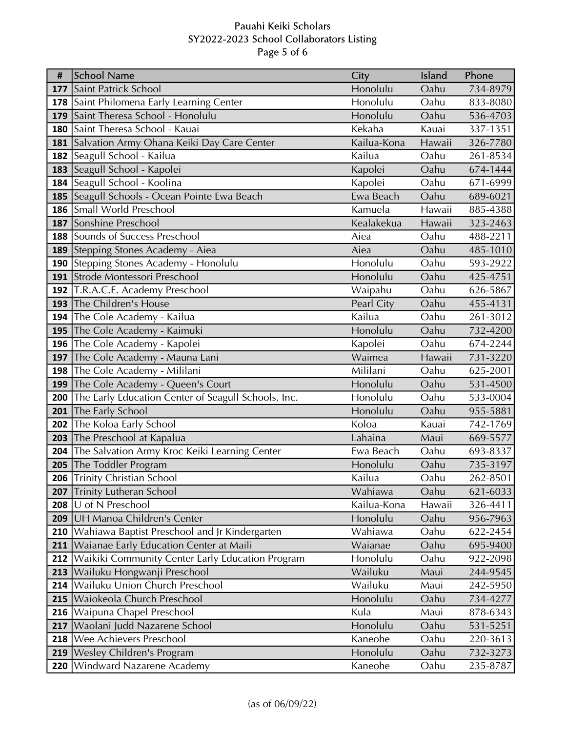# Pauahi Keiki Scholars SY2022-2023 School Collaborators Listing Page 5 of 6

| #   | School Name                                         | City        | Island | Phone    |
|-----|-----------------------------------------------------|-------------|--------|----------|
| 177 | Saint Patrick School                                | Honolulu    | Oahu   | 734-8979 |
|     | 178 Saint Philomena Early Learning Center           | Honolulu    | Oahu   | 833-8080 |
| 179 | Saint Theresa School - Honolulu                     | Honolulu    | Oahu   | 536-4703 |
|     | 180 Saint Theresa School - Kauai                    | Kekaha      | Kauai  | 337-1351 |
|     | 181 Salvation Army Ohana Keiki Day Care Center      | Kailua-Kona | Hawaii | 326-7780 |
|     | <b>182</b> Seagull School - Kailua                  | Kailua      | Oahu   | 261-8534 |
|     | 183 Seagull School - Kapolei                        | Kapolei     | Oahu   | 674-1444 |
|     | 184 Seagull School - Koolina                        | Kapolei     | Oahu   | 671-6999 |
|     | 185 Seagull Schools - Ocean Pointe Ewa Beach        | Ewa Beach   | Oahu   | 689-6021 |
|     | 186 Small World Preschool                           | Kamuela     | Hawaii | 885-4388 |
| 187 | Sonshine Preschool                                  | Kealakekua  | Hawaii | 323-2463 |
|     | <b>188</b> Sounds of Success Preschool              | Aiea        | Oahu   | 488-2211 |
|     | 189 Stepping Stones Academy - Aiea                  | Aiea        | Oahu   | 485-1010 |
|     | 190 Stepping Stones Academy - Honolulu              | Honolulu    | Oahu   | 593-2922 |
|     | 191 Strode Montessori Preschool                     | Honolulu    | Oahu   | 425-4751 |
|     | 192 T.R.A.C.E. Academy Preschool                    | Waipahu     | Oahu   | 626-5867 |
| 193 | The Children's House                                | Pearl City  | Oahu   | 455-4131 |
| 194 | The Cole Academy - Kailua                           | Kailua      | Oahu   | 261-3012 |
|     | 195 The Cole Academy - Kaimuki                      | Honolulu    | Oahu   | 732-4200 |
|     | 196 The Cole Academy - Kapolei                      | Kapolei     | Oahu   | 674-2244 |
| 197 | The Cole Academy - Mauna Lani                       | Waimea      | Hawaii | 731-3220 |
|     | 198 The Cole Academy - Mililani                     | Mililani    | Oahu   | 625-2001 |
|     | 199 The Cole Academy - Queen's Court                | Honolulu    | Oahu   | 531-4500 |
| 200 | The Early Education Center of Seagull Schools, Inc. | Honolulu    | Oahu   | 533-0004 |
| 201 | The Early School                                    | Honolulu    | Oahu   | 955-5881 |
| 202 | The Koloa Early School                              | Koloa       | Kauai  | 742-1769 |
|     | 203 The Preschool at Kapalua                        | Lahaina     | Maui   | 669-5577 |
| 204 | The Salvation Army Kroc Keiki Learning Center       | Ewa Beach   | Oahu   | 693-8337 |
|     | 205 The Toddler Program                             | Honolulu    | Oahu   | 735-3197 |
|     | 206 Trinity Christian School                        | Kailua      | Oahu   | 262-8501 |
| 207 | <b>Trinity Lutheran School</b>                      | Wahiawa     | Oahu   | 621-6033 |
| 208 | U of N Preschool                                    | Kailua-Kona | Hawaii | 326-4411 |
| 209 | UH Manoa Children's Center                          | Honolulu    | Oahu   | 956-7963 |
| 210 | Wahiawa Baptist Preschool and Jr Kindergarten       | Wahiawa     | Oahu   | 622-2454 |
| 211 | Waianae Early Education Center at Maili             | Waianae     | Oahu   | 695-9400 |
| 212 | Waikiki Community Center Early Education Program    | Honolulu    | Oahu   | 922-2098 |
| 213 | Wailuku Hongwanji Preschool                         | Wailuku     | Maui   | 244-9545 |
| 214 | Wailuku Union Church Preschool                      | Wailuku     | Maui   | 242-5950 |
| 215 | Waiokeola Church Preschool                          | Honolulu    | Oahu   | 734-4277 |
| 216 | Waipuna Chapel Preschool                            | Kula        | Maui   | 878-6343 |
| 217 | Waolani Judd Nazarene School                        | Honolulu    | Oahu   | 531-5251 |
| 218 | Wee Achievers Preschool                             | Kaneohe     | Oahu   | 220-3613 |
| 219 | Wesley Children's Program                           | Honolulu    | Oahu   | 732-3273 |
| 220 | <b>Windward Nazarene Academy</b>                    | Kaneohe     | Oahu   | 235-8787 |